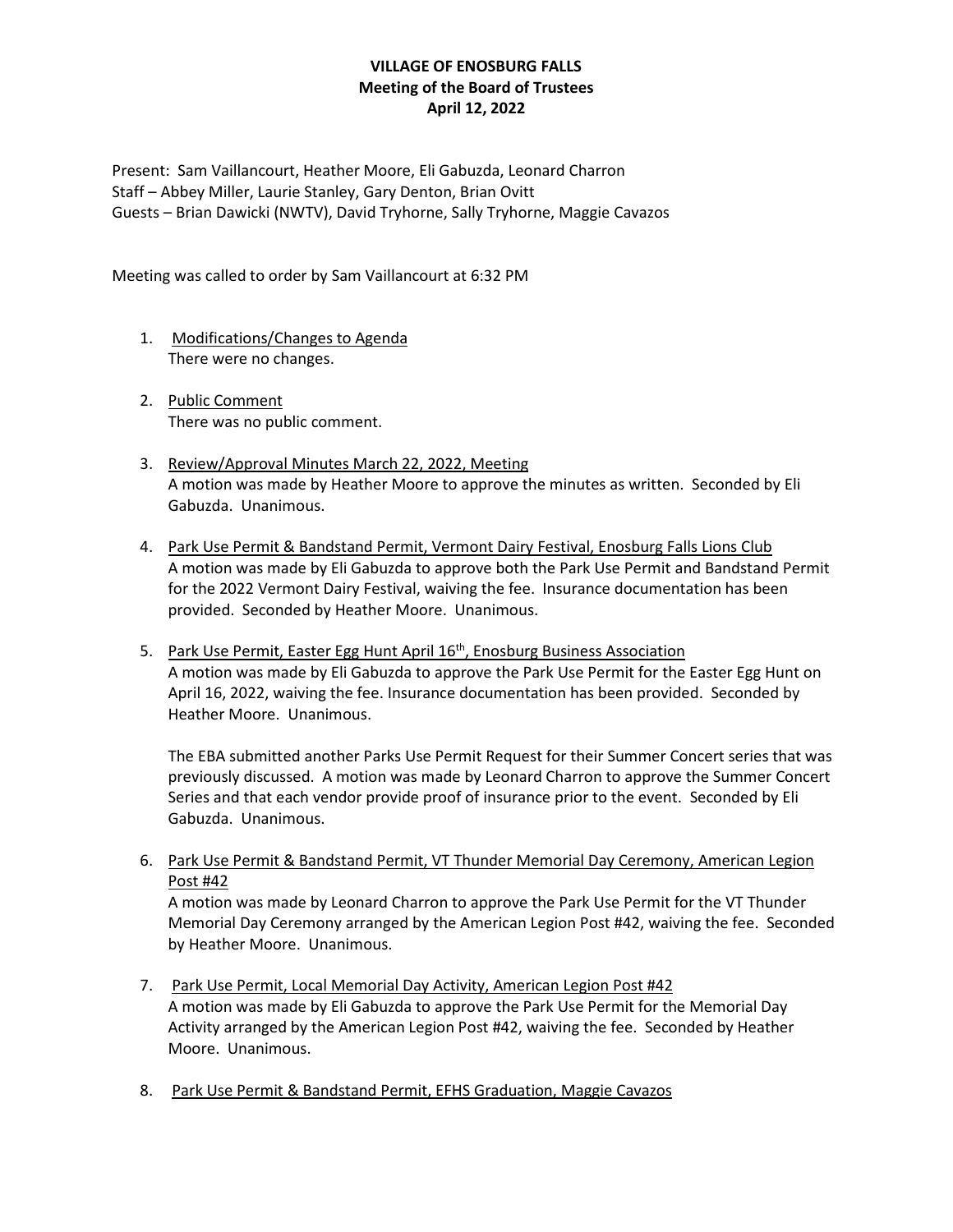Present: Sam Vaillancourt, Heather Moore, Eli Gabuzda, Leonard Charron Staff – Abbey Miller, Laurie Stanley, Gary Denton, Brian Ovitt Guests – Brian Dawicki (NWTV), David Tryhorne, Sally Tryhorne, Maggie Cavazos

Meeting was called to order by Sam Vaillancourt at 6:32 PM

- 1. Modifications/Changes to Agenda There were no changes.
- 2. Public Comment There was no public comment.
- 3. Review/Approval Minutes March 22, 2022, Meeting A motion was made by Heather Moore to approve the minutes as written. Seconded by Eli Gabuzda. Unanimous.
- 4. Park Use Permit & Bandstand Permit, Vermont Dairy Festival, Enosburg Falls Lions Club A motion was made by Eli Gabuzda to approve both the Park Use Permit and Bandstand Permit for the 2022 Vermont Dairy Festival, waiving the fee. Insurance documentation has been provided. Seconded by Heather Moore. Unanimous.
- 5. Park Use Permit, Easter Egg Hunt April 16<sup>th</sup>, Enosburg Business Association A motion was made by Eli Gabuzda to approve the Park Use Permit for the Easter Egg Hunt on April 16, 2022, waiving the fee. Insurance documentation has been provided. Seconded by Heather Moore. Unanimous.

The EBA submitted another Parks Use Permit Request for their Summer Concert series that was previously discussed. A motion was made by Leonard Charron to approve the Summer Concert Series and that each vendor provide proof of insurance prior to the event. Seconded by Eli Gabuzda. Unanimous.

6. Park Use Permit & Bandstand Permit, VT Thunder Memorial Day Ceremony, American Legion Post #42

A motion was made by Leonard Charron to approve the Park Use Permit for the VT Thunder Memorial Day Ceremony arranged by the American Legion Post #42, waiving the fee. Seconded by Heather Moore. Unanimous.

- 7. Park Use Permit, Local Memorial Day Activity, American Legion Post #42 A motion was made by Eli Gabuzda to approve the Park Use Permit for the Memorial Day Activity arranged by the American Legion Post #42, waiving the fee. Seconded by Heather Moore. Unanimous.
- 8. Park Use Permit & Bandstand Permit, EFHS Graduation, Maggie Cavazos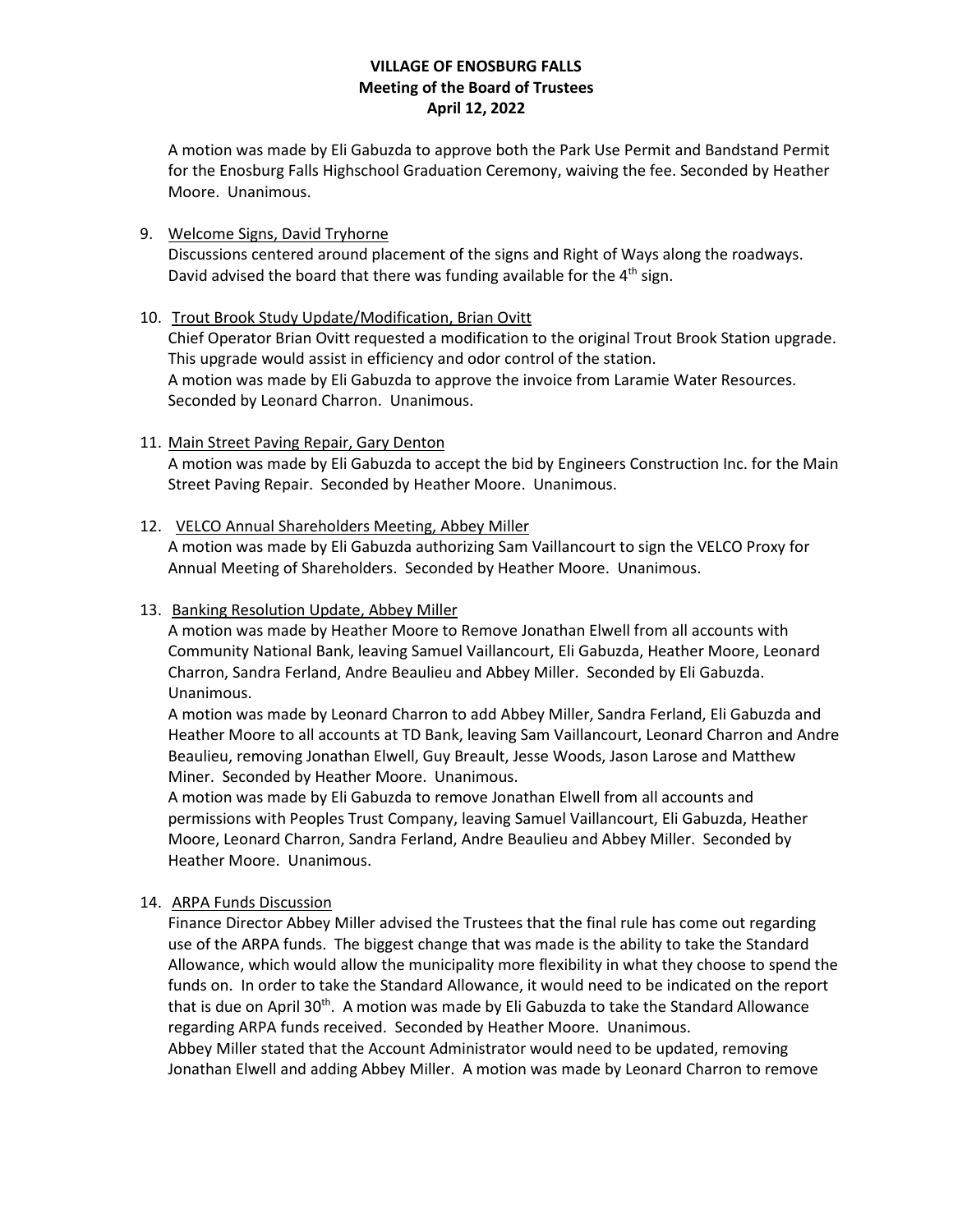A motion was made by Eli Gabuzda to approve both the Park Use Permit and Bandstand Permit for the Enosburg Falls Highschool Graduation Ceremony, waiving the fee. Seconded by Heather Moore. Unanimous.

#### 9. Welcome Signs, David Tryhorne

Discussions centered around placement of the signs and Right of Ways along the roadways. David advised the board that there was funding available for the  $4<sup>th</sup>$  sign.

## 10. Trout Brook Study Update/Modification, Brian Ovitt

Chief Operator Brian Ovitt requested a modification to the original Trout Brook Station upgrade. This upgrade would assist in efficiency and odor control of the station. A motion was made by Eli Gabuzda to approve the invoice from Laramie Water Resources. Seconded by Leonard Charron. Unanimous.

#### 11. Main Street Paving Repair, Gary Denton

A motion was made by Eli Gabuzda to accept the bid by Engineers Construction Inc. for the Main Street Paving Repair. Seconded by Heather Moore. Unanimous.

## 12. VELCO Annual Shareholders Meeting, Abbey Miller

A motion was made by Eli Gabuzda authorizing Sam Vaillancourt to sign the VELCO Proxy for Annual Meeting of Shareholders. Seconded by Heather Moore. Unanimous.

### 13. Banking Resolution Update, Abbey Miller

A motion was made by Heather Moore to Remove Jonathan Elwell from all accounts with Community National Bank, leaving Samuel Vaillancourt, Eli Gabuzda, Heather Moore, Leonard Charron, Sandra Ferland, Andre Beaulieu and Abbey Miller. Seconded by Eli Gabuzda. Unanimous.

A motion was made by Leonard Charron to add Abbey Miller, Sandra Ferland, Eli Gabuzda and Heather Moore to all accounts at TD Bank, leaving Sam Vaillancourt, Leonard Charron and Andre Beaulieu, removing Jonathan Elwell, Guy Breault, Jesse Woods, Jason Larose and Matthew Miner. Seconded by Heather Moore. Unanimous.

A motion was made by Eli Gabuzda to remove Jonathan Elwell from all accounts and permissions with Peoples Trust Company, leaving Samuel Vaillancourt, Eli Gabuzda, Heather Moore, Leonard Charron, Sandra Ferland, Andre Beaulieu and Abbey Miller. Seconded by Heather Moore. Unanimous.

#### 14. ARPA Funds Discussion

Finance Director Abbey Miller advised the Trustees that the final rule has come out regarding use of the ARPA funds. The biggest change that was made is the ability to take the Standard Allowance, which would allow the municipality more flexibility in what they choose to spend the funds on. In order to take the Standard Allowance, it would need to be indicated on the report that is due on April 30<sup>th</sup>. A motion was made by Eli Gabuzda to take the Standard Allowance regarding ARPA funds received. Seconded by Heather Moore. Unanimous.

Abbey Miller stated that the Account Administrator would need to be updated, removing Jonathan Elwell and adding Abbey Miller. A motion was made by Leonard Charron to remove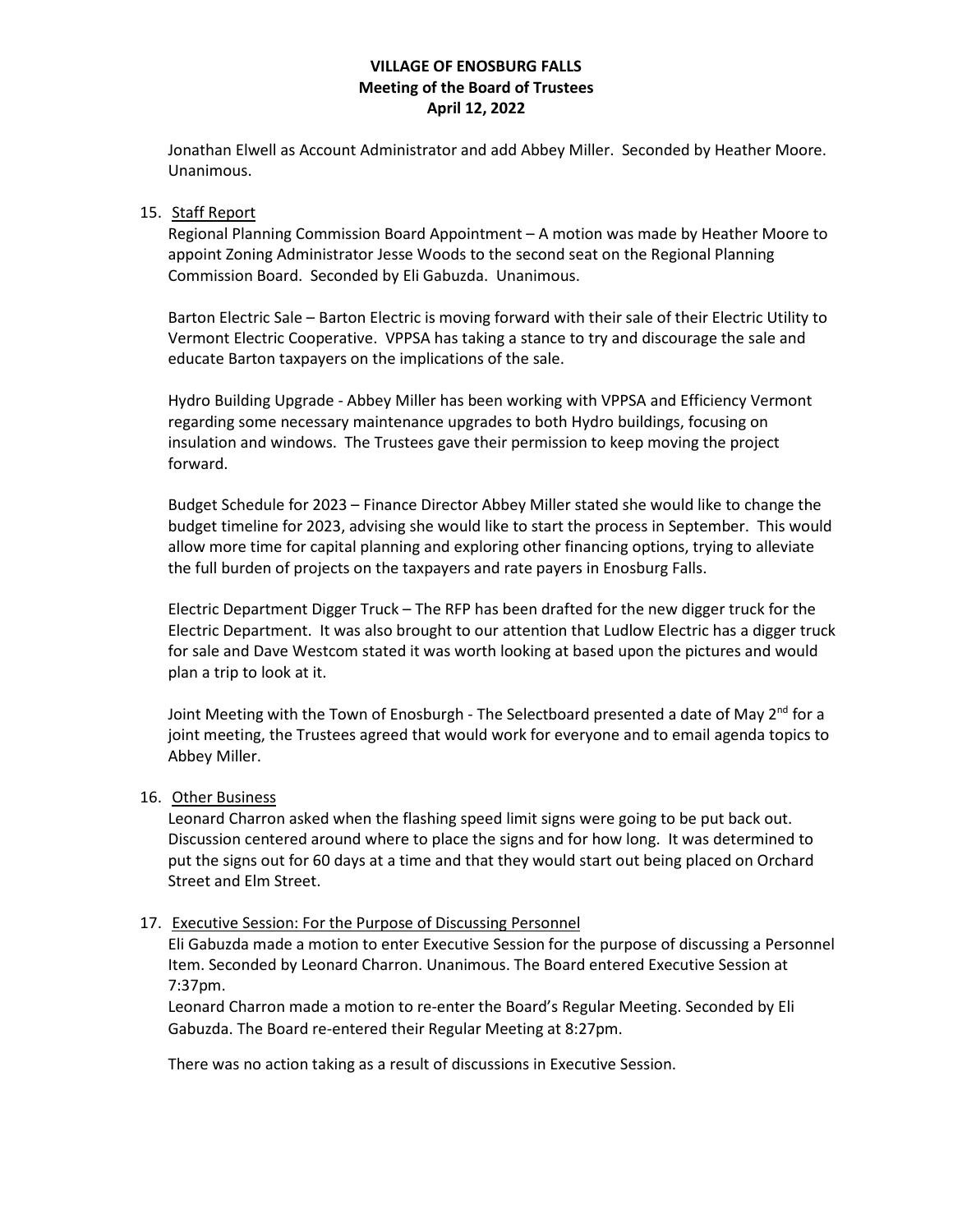Jonathan Elwell as Account Administrator and add Abbey Miller. Seconded by Heather Moore. Unanimous.

#### 15. Staff Report

Regional Planning Commission Board Appointment – A motion was made by Heather Moore to appoint Zoning Administrator Jesse Woods to the second seat on the Regional Planning Commission Board. Seconded by Eli Gabuzda. Unanimous.

Barton Electric Sale – Barton Electric is moving forward with their sale of their Electric Utility to Vermont Electric Cooperative. VPPSA has taking a stance to try and discourage the sale and educate Barton taxpayers on the implications of the sale.

Hydro Building Upgrade - Abbey Miller has been working with VPPSA and Efficiency Vermont regarding some necessary maintenance upgrades to both Hydro buildings, focusing on insulation and windows. The Trustees gave their permission to keep moving the project forward.

Budget Schedule for 2023 – Finance Director Abbey Miller stated she would like to change the budget timeline for 2023, advising she would like to start the process in September. This would allow more time for capital planning and exploring other financing options, trying to alleviate the full burden of projects on the taxpayers and rate payers in Enosburg Falls.

Electric Department Digger Truck – The RFP has been drafted for the new digger truck for the Electric Department. It was also brought to our attention that Ludlow Electric has a digger truck for sale and Dave Westcom stated it was worth looking at based upon the pictures and would plan a trip to look at it.

Joint Meeting with the Town of Enosburgh - The Selectboard presented a date of May  $2^{nd}$  for a joint meeting, the Trustees agreed that would work for everyone and to email agenda topics to Abbey Miller.

#### 16. Other Business

Leonard Charron asked when the flashing speed limit signs were going to be put back out. Discussion centered around where to place the signs and for how long. It was determined to put the signs out for 60 days at a time and that they would start out being placed on Orchard Street and Elm Street.

#### 17. Executive Session: For the Purpose of Discussing Personnel

Eli Gabuzda made a motion to enter Executive Session for the purpose of discussing a Personnel Item. Seconded by Leonard Charron. Unanimous. The Board entered Executive Session at 7:37pm.

Leonard Charron made a motion to re-enter the Board's Regular Meeting. Seconded by Eli Gabuzda. The Board re-entered their Regular Meeting at 8:27pm.

There was no action taking as a result of discussions in Executive Session.